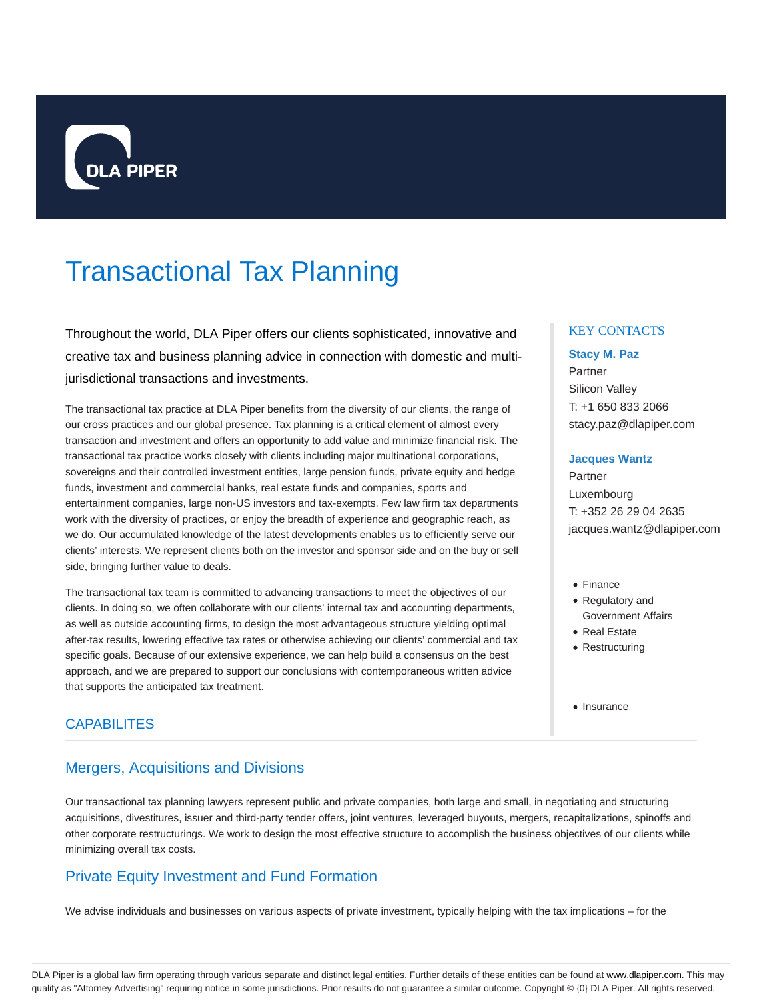

# Transactional Tax Planning

Throughout the world, DLA Piper offers our clients sophisticated, innovative and creative tax and business planning advice in connection with domestic and multijurisdictional transactions and investments.

The transactional tax practice at DLA Piper benefits from the diversity of our clients, the range of our cross practices and our global presence. Tax planning is a critical element of almost every transaction and investment and offers an opportunity to add value and minimize financial risk. The transactional tax practice works closely with clients including major multinational corporations, sovereigns and their controlled investment entities, large pension funds, private equity and hedge funds, investment and commercial banks, real estate funds and companies, sports and entertainment companies, large non-US investors and tax-exempts. Few law firm tax departments work with the diversity of practices, or enjoy the breadth of experience and geographic reach, as we do. Our accumulated knowledge of the latest developments enables us to efficiently serve our clients' interests. We represent clients both on the investor and sponsor side and on the buy or sell side, bringing further value to deals.

The transactional tax team is committed to advancing transactions to meet the objectives of our clients. In doing so, we often collaborate with our clients' internal tax and accounting departments, as well as outside accounting firms, to design the most advantageous structure yielding optimal after-tax results, lowering effective tax rates or otherwise achieving our clients' commercial and tax specific goals. Because of our extensive experience, we can help build a consensus on the best approach, and we are prepared to support our conclusions with contemporaneous written advice that supports the anticipated tax treatment.

#### **CAPABILITES**

## Mergers, Acquisitions and Divisions

Our transactional tax planning lawyers represent public and private companies, both large and small, in negotiating and structuring acquisitions, divestitures, issuer and third-party tender offers, joint ventures, leveraged buyouts, mergers, recapitalizations, spinoffs and other corporate restructurings. We work to design the most effective structure to accomplish the business objectives of our clients while minimizing overall tax costs.

# Private Equity Investment and Fund Formation

We advise individuals and businesses on various aspects of private investment, typically helping with the tax implications – for the

#### KEY CONTACTS

#### **Stacy M. Paz**

Partner Silicon Valley T: +1 650 833 2066 stacy.paz@dlapiper.com

#### **Jacques Wantz**

Partner Luxembourg T: +352 26 29 04 2635 jacques.wantz@dlapiper.com

- Finance
- Regulatory and Government Affairs
- Real Estate
- Restructuring
- Insurance

DLA Piper is a global law firm operating through various separate and distinct legal entities. Further details of these entities can be found at www.dlapiper.com. This may qualify as "Attorney Advertising" requiring notice in some jurisdictions. Prior results do not guarantee a similar outcome. Copyright © {0} DLA Piper. All rights reserved.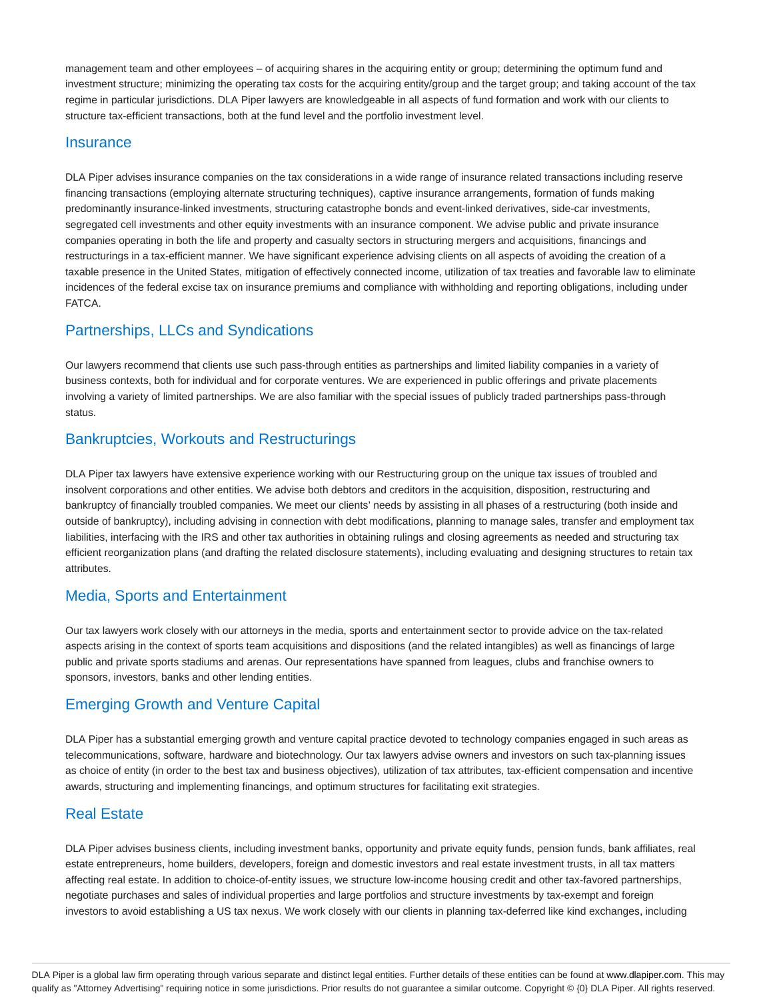management team and other employees – of acquiring shares in the acquiring entity or group; determining the optimum fund and investment structure; minimizing the operating tax costs for the acquiring entity/group and the target group; and taking account of the tax regime in particular jurisdictions. DLA Piper lawyers are knowledgeable in all aspects of fund formation and work with our clients to structure tax-efficient transactions, both at the fund level and the portfolio investment level.

#### **Insurance**

DLA Piper advises insurance companies on the tax considerations in a wide range of insurance related transactions including reserve financing transactions (employing alternate structuring techniques), captive insurance arrangements, formation of funds making predominantly insurance-linked investments, structuring catastrophe bonds and event-linked derivatives, side-car investments, segregated cell investments and other equity investments with an insurance component. We advise public and private insurance companies operating in both the life and property and casualty sectors in structuring mergers and acquisitions, financings and restructurings in a tax-efficient manner. We have significant experience advising clients on all aspects of avoiding the creation of a taxable presence in the United States, mitigation of effectively connected income, utilization of tax treaties and favorable law to eliminate incidences of the federal excise tax on insurance premiums and compliance with withholding and reporting obligations, including under FATCA.

#### Partnerships, LLCs and Syndications

Our lawyers recommend that clients use such pass-through entities as partnerships and limited liability companies in a variety of business contexts, both for individual and for corporate ventures. We are experienced in public offerings and private placements involving a variety of limited partnerships. We are also familiar with the special issues of publicly traded partnerships pass-through status.

#### Bankruptcies, Workouts and Restructurings

DLA Piper tax lawyers have extensive experience working with our Restructuring group on the unique tax issues of troubled and insolvent corporations and other entities. We advise both debtors and creditors in the acquisition, disposition, restructuring and bankruptcy of financially troubled companies. We meet our clients' needs by assisting in all phases of a restructuring (both inside and outside of bankruptcy), including advising in connection with debt modifications, planning to manage sales, transfer and employment tax liabilities, interfacing with the IRS and other tax authorities in obtaining rulings and closing agreements as needed and structuring tax efficient reorganization plans (and drafting the related disclosure statements), including evaluating and designing structures to retain tax attributes.

#### Media, Sports and Entertainment

Our tax lawyers work closely with our attorneys in the media, sports and entertainment sector to provide advice on the tax-related aspects arising in the context of sports team acquisitions and dispositions (and the related intangibles) as well as financings of large public and private sports stadiums and arenas. Our representations have spanned from leagues, clubs and franchise owners to sponsors, investors, banks and other lending entities.

## Emerging Growth and Venture Capital

DLA Piper has a substantial emerging growth and venture capital practice devoted to technology companies engaged in such areas as telecommunications, software, hardware and biotechnology. Our tax lawyers advise owners and investors on such tax-planning issues as choice of entity (in order to the best tax and business objectives), utilization of tax attributes, tax-efficient compensation and incentive awards, structuring and implementing financings, and optimum structures for facilitating exit strategies.

#### Real Estate

DLA Piper advises business clients, including investment banks, opportunity and private equity funds, pension funds, bank affiliates, real estate entrepreneurs, home builders, developers, foreign and domestic investors and real estate investment trusts, in all tax matters affecting real estate. In addition to choice-of-entity issues, we structure low-income housing credit and other tax-favored partnerships, negotiate purchases and sales of individual properties and large portfolios and structure investments by tax-exempt and foreign investors to avoid establishing a US tax nexus. We work closely with our clients in planning tax-deferred like kind exchanges, including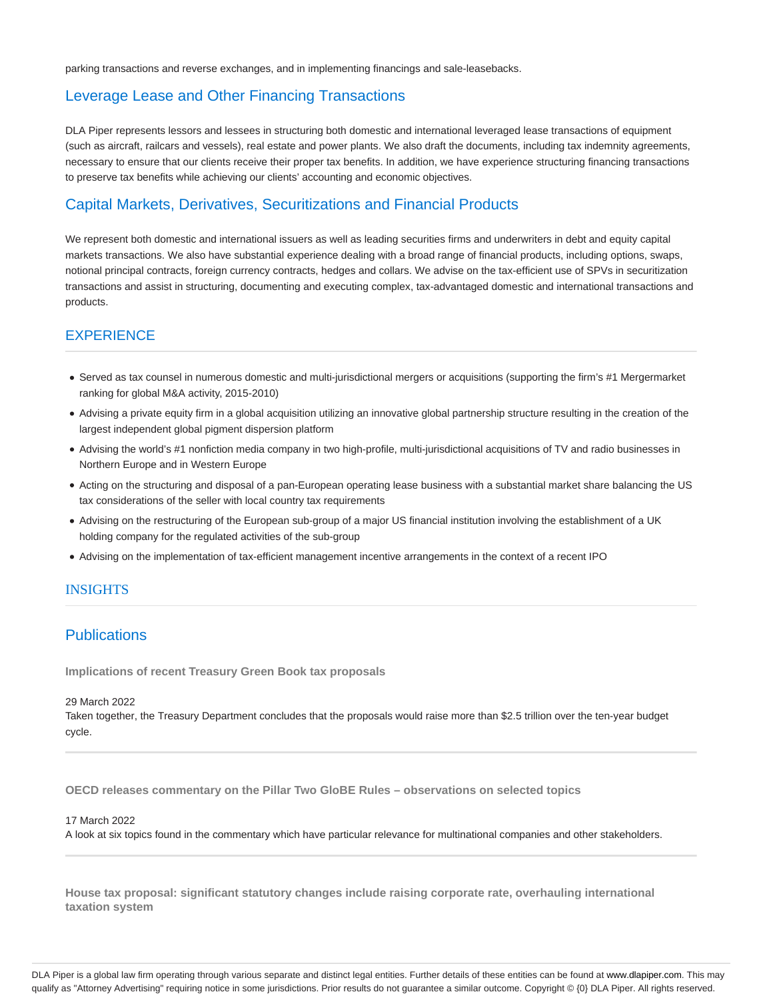parking transactions and reverse exchanges, and in implementing financings and sale-leasebacks.

## Leverage Lease and Other Financing Transactions

DLA Piper represents lessors and lessees in structuring both domestic and international leveraged lease transactions of equipment (such as aircraft, railcars and vessels), real estate and power plants. We also draft the documents, including tax indemnity agreements, necessary to ensure that our clients receive their proper tax benefits. In addition, we have experience structuring financing transactions to preserve tax benefits while achieving our clients' accounting and economic objectives.

# Capital Markets, Derivatives, Securitizations and Financial Products

We represent both domestic and international issuers as well as leading securities firms and underwriters in debt and equity capital markets transactions. We also have substantial experience dealing with a broad range of financial products, including options, swaps, notional principal contracts, foreign currency contracts, hedges and collars. We advise on the tax-efficient use of SPVs in securitization transactions and assist in structuring, documenting and executing complex, tax-advantaged domestic and international transactions and products.

# **EXPERIENCE**

- Served as tax counsel in numerous domestic and multi-jurisdictional mergers or acquisitions (supporting the firm's #1 Mergermarket ranking for global M&A activity, 2015-2010)
- Advising a private equity firm in a global acquisition utilizing an innovative global partnership structure resulting in the creation of the largest independent global pigment dispersion platform
- Advising the world's #1 nonfiction media company in two high-profile, multi-jurisdictional acquisitions of TV and radio businesses in Northern Europe and in Western Europe
- Acting on the structuring and disposal of a pan-European operating lease business with a substantial market share balancing the US tax considerations of the seller with local country tax requirements
- Advising on the restructuring of the European sub-group of a major US financial institution involving the establishment of a UK holding company for the regulated activities of the sub-group
- Advising on the implementation of tax-efficient management incentive arrangements in the context of a recent IPO

#### INSIGHTS

## **Publications**

**Implications of recent Treasury Green Book tax proposals**

#### 29 March 2022

Taken together, the Treasury Department concludes that the proposals would raise more than \$2.5 trillion over the ten-year budget cycle.

**OECD releases commentary on the Pillar Two GloBE Rules – observations on selected topics**

17 March 2022

A look at six topics found in the commentary which have particular relevance for multinational companies and other stakeholders.

**House tax proposal: significant statutory changes include raising corporate rate, overhauling international taxation system**

DLA Piper is a global law firm operating through various separate and distinct legal entities. Further details of these entities can be found at www.dlapiper.com. This may qualify as "Attorney Advertising" requiring notice in some jurisdictions. Prior results do not guarantee a similar outcome. Copyright © {0} DLA Piper. All rights reserved.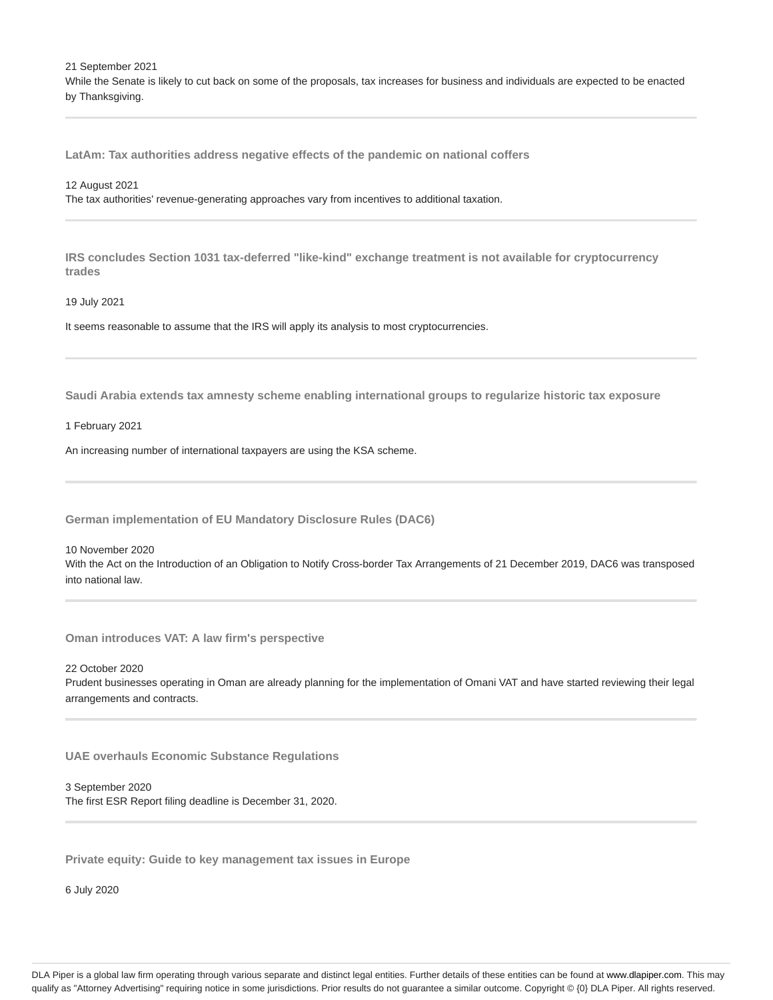21 September 2021 While the Senate is likely to cut back on some of the proposals, tax increases for business and individuals are expected to be enacted by Thanksgiving.

**LatAm: Tax authorities address negative effects of the pandemic on national coffers**

#### 12 August 2021

The tax authorities' revenue-generating approaches vary from incentives to additional taxation.

**IRS concludes Section 1031 tax-deferred "like-kind" exchange treatment is not available for cryptocurrency trades**

#### 19 July 2021

It seems reasonable to assume that the IRS will apply its analysis to most cryptocurrencies.

**Saudi Arabia extends tax amnesty scheme enabling international groups to regularize historic tax exposure**

1 February 2021

An increasing number of international taxpayers are using the KSA scheme.

**German implementation of EU Mandatory Disclosure Rules (DAC6)**

10 November 2020

With the Act on the Introduction of an Obligation to Notify Cross-border Tax Arrangements of 21 December 2019, DAC6 was transposed into national law.

**Oman introduces VAT: A law firm's perspective**

22 October 2020 Prudent businesses operating in Oman are already planning for the implementation of Omani VAT and have started reviewing their legal arrangements and contracts.

**UAE overhauls Economic Substance Regulations**

3 September 2020 The first ESR Report filing deadline is December 31, 2020.

**Private equity: Guide to key management tax issues in Europe**

6 July 2020

DLA Piper is a global law firm operating through various separate and distinct legal entities. Further details of these entities can be found at www.dlapiper.com. This may qualify as "Attorney Advertising" requiring notice in some jurisdictions. Prior results do not guarantee a similar outcome. Copyright © {0} DLA Piper. All rights reserved.